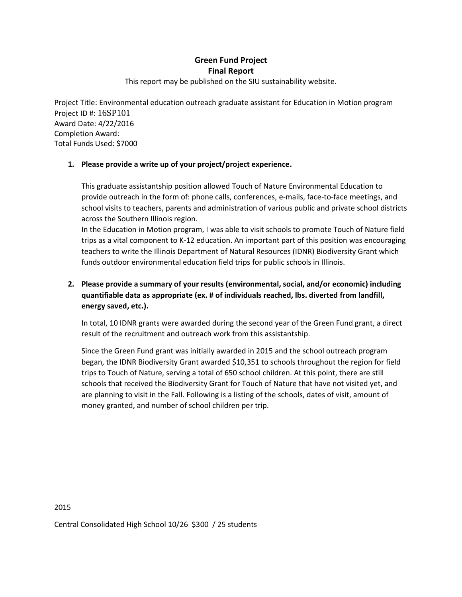# **Green Fund Project Final Report**

This report may be published on the SIU sustainability website.

Project Title: Environmental education outreach graduate assistant for Education in Motion program Project ID #: 16SP101 Award Date: 4/22/2016 Completion Award: Total Funds Used: \$7000

### **1. Please provide a write up of your project/project experience.**

This graduate assistantship position allowed Touch of Nature Environmental Education to provide outreach in the form of: phone calls, conferences, e-mails, face-to-face meetings, and school visits to teachers, parents and administration of various public and private school districts across the Southern Illinois region.

In the Education in Motion program, I was able to visit schools to promote Touch of Nature field trips as a vital component to K-12 education. An important part of this position was encouraging teachers to write the Illinois Department of Natural Resources (IDNR) Biodiversity Grant which funds outdoor environmental education field trips for public schools in Illinois.

## **2. Please provide a summary of your results (environmental, social, and/or economic) including quantifiable data as appropriate (ex. # of individuals reached, lbs. diverted from landfill, energy saved, etc.).**

In total, 10 IDNR grants were awarded during the second year of the Green Fund grant, a direct result of the recruitment and outreach work from this assistantship.

Since the Green Fund grant was initially awarded in 2015 and the school outreach program began, the IDNR Biodiversity Grant awarded \$10,351 to schools throughout the region for field trips to Touch of Nature, serving a total of 650 school children. At this point, there are still schools that received the Biodiversity Grant for Touch of Nature that have not visited yet, and are planning to visit in the Fall. Following is a listing of the schools, dates of visit, amount of money granted, and number of school children per trip.

2015

Central Consolidated High School 10/26 \$300 / 25 students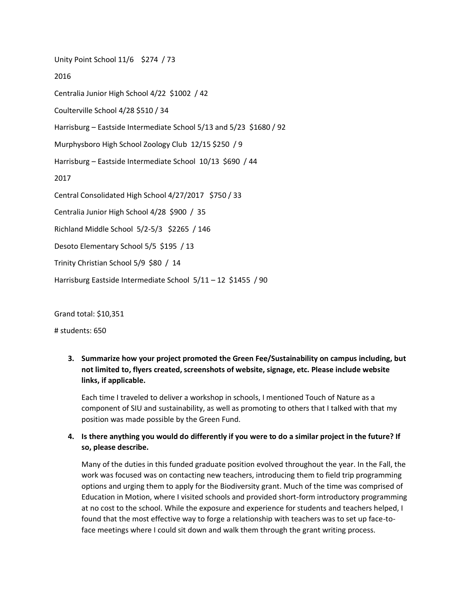Unity Point School 11/6 \$274 / 73

#### 2016

Centralia Junior High School 4/22 \$1002 / 42

Coulterville School 4/28 \$510 / 34

Harrisburg – Eastside Intermediate School 5/13 and 5/23 \$1680 / 92

Murphysboro High School Zoology Club 12/15 \$250 / 9

Harrisburg – Eastside Intermediate School 10/13 \$690 / 44

2017

Central Consolidated High School 4/27/2017 \$750 / 33

Centralia Junior High School 4/28 \$900 / 35

Richland Middle School 5/2-5/3 \$2265 / 146

Desoto Elementary School 5/5 \$195 / 13

Trinity Christian School 5/9 \$80 / 14

Harrisburg Eastside Intermediate School 5/11 – 12 \$1455 / 90

Grand total: \$10,351

# students: 650

## **3. Summarize how your project promoted the Green Fee/Sustainability on campus including, but not limited to, flyers created, screenshots of website, signage, etc. Please include website links, if applicable.**

Each time I traveled to deliver a workshop in schools, I mentioned Touch of Nature as a component of SIU and sustainability, as well as promoting to others that I talked with that my position was made possible by the Green Fund.

### **4. Is there anything you would do differently if you were to do a similar project in the future? If so, please describe.**

Many of the duties in this funded graduate position evolved throughout the year. In the Fall, the work was focused was on contacting new teachers, introducing them to field trip programming options and urging them to apply for the Biodiversity grant. Much of the time was comprised of Education in Motion, where I visited schools and provided short-form introductory programming at no cost to the school. While the exposure and experience for students and teachers helped, I found that the most effective way to forge a relationship with teachers was to set up face-toface meetings where I could sit down and walk them through the grant writing process.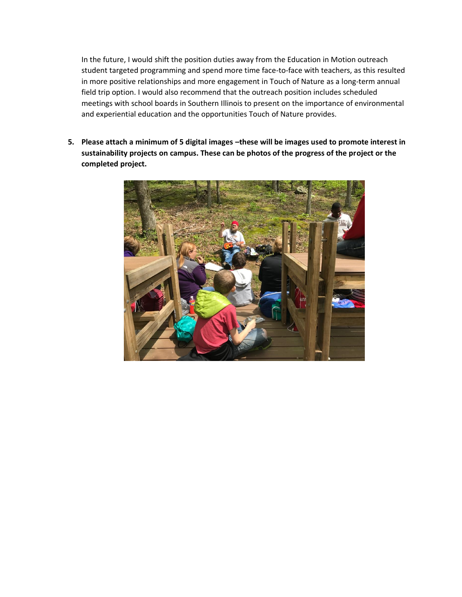In the future, I would shift the position duties away from the Education in Motion outreach student targeted programming and spend more time face-to-face with teachers, as this resulted in more positive relationships and more engagement in Touch of Nature as a long-term annual field trip option. I would also recommend that the outreach position includes scheduled meetings with school boards in Southern Illinois to present on the importance of environmental and experiential education and the opportunities Touch of Nature provides.

**5. Please attach a minimum of 5 digital images –these will be images used to promote interest in sustainability projects on campus. These can be photos of the progress of the project or the completed project.**

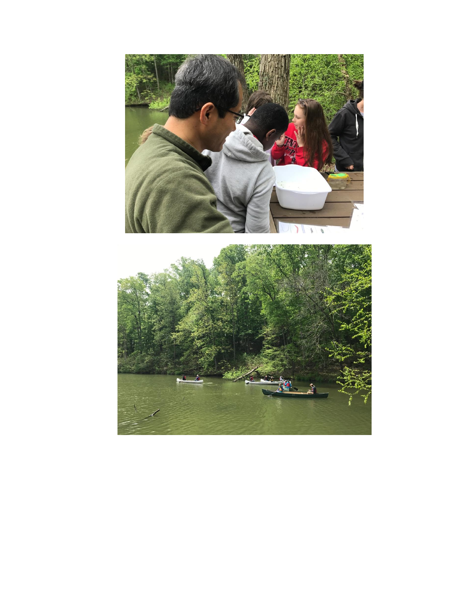